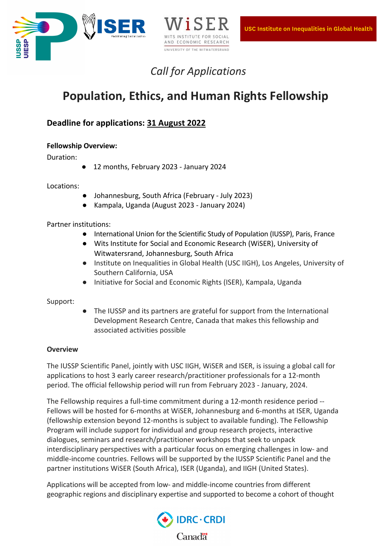



# *Call for Applications*

# **Population, Ethics, and Human Rights Fellowship**

# **Deadline for applications: 31 August 2022**

# **Fellowship Overview:**

Duration:

● 12 months, February 2023 - January 2024

Locations:

- Johannesburg, South Africa (February July 2023)
- Kampala, Uganda (August 2023 January 2024)

Partner institutions:

- International Union for the Scientific Study of Population (IUSSP), Paris, France
- Wits Institute for Social and Economic Research (WiSER), University of Witwatersrand, Johannesburg, South Africa
- Institute on Inequalities in Global Health (USC IIGH), Los Angeles, University of Southern California, USA
- Initiative for Social and Economic Rights (ISER), Kampala, Uganda

Support:

● The IUSSP and its partners are grateful for support from the International Development Research Centre, Canada that makes this fellowship and associated activities possible

# **Overview**

The IUSSP Scientific Panel, jointly with USC IIGH, WiSER and ISER, is issuing a global call for applications to host 3 early career research/practitioner professionals for a 12-month period. The official fellowship period will run from February 2023 - January, 2024.

The Fellowship requires a full-time commitment during a 12-month residence period -- Fellows will be hosted for 6-months at WiSER, Johannesburg and 6-months at ISER, Uganda (fellowship extension beyond 12-months is subject to available funding). The Fellowship Program will include support for individual and group research projects, interactive dialogues, seminars and research/practitioner workshops that seek to unpack interdisciplinary perspectives with a particular focus on emerging challenges in low- and middle-income countries. Fellows will be supported by the IUSSP Scientific Panel and the partner institutions WiSER (South Africa), ISER (Uganda), and IIGH (United States).

Applications will be accepted from low- and middle-income countries from different geographic regions and disciplinary expertise and supported to become a cohort of thought

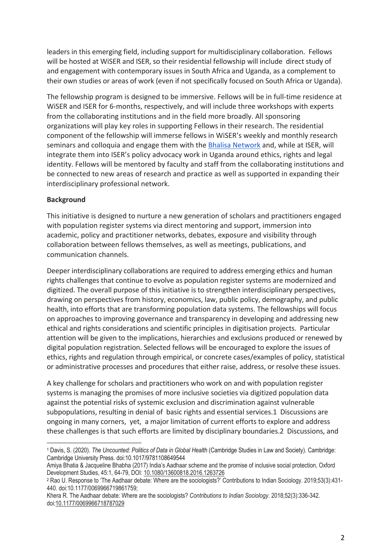leaders in this emerging field, including support for multidisciplinary collaboration. Fellows will be hosted at WiSER and ISER, so their residential fellowship will include direct study of and engagement with contemporary issues in South Africa and Uganda, as a complement to their own studies or areas of work (even if not specifically focused on South Africa or Uganda).

The fellowship program is designed to be immersive. Fellows will be in full-time residence at WiSER and ISER for 6-months, respectively, and will include three workshops with experts from the collaborating institutions and in the field more broadly. All sponsoring organizations will play key roles in supporting Fellows in their research. The residential component of the fellowship will immerse fellows in WiSER's weekly and monthly research seminars and colloquia and engage them with the Bhalisa Network and, while at ISER, will integrate them into ISER's policy advocacy work in Uganda around ethics, rights and legal identity. Fellows will be mentored by faculty and staff from the collaborating institutions and be connected to new areas of research and practice as well as supported in expanding their interdisciplinary professional network.

#### **Background**

This initiative is designed to nurture a new generation of scholars and practitioners engaged with population register systems via direct mentoring and support, immersion into academic, policy and practitioner networks, debates, exposure and visibility through collaboration between fellows themselves, as well as meetings, publications, and communication channels.

Deeper interdisciplinary collaborations are required to address emerging ethics and human rights challenges that continue to evolve as population register systems are modernized and digitized. The overall purpose of this initiative is to strengthen interdisciplinary perspectives, drawing on perspectives from history, economics, law, public policy, demography, and public health, into efforts that are transforming population data systems. The fellowships will focus on approaches to improving governance and transparency in developing and addressing new ethical and rights considerations and scientific principles in digitisation projects. Particular attention will be given to the implications, hierarchies and exclusions produced or renewed by digital population registration. Selected fellows will be encouraged to explore the issues of ethics, rights and regulation through empirical, or concrete cases/examples of policy, statistical or administrative processes and procedures that either raise, address, or resolve these issues.

A key challenge for scholars and practitioners who work on and with population register systems is managing the promises of more inclusive societies via digitized population data against the potential risks of systemic exclusion and discrimination against vulnerable subpopulations, resulting in denial of basic rights and essential services.1 Discussions are ongoing in many corners, yet, a major limitation of current efforts to explore and address these challenges is that such efforts are limited by disciplinary boundaries.2 Discussions, and

<sup>1</sup> Davis, S. (2020). *The Uncounted: Politics of Data in Global Health* (Cambridge Studies in Law and Society). Cambridge: Cambridge University Press. doi:10.1017/9781108649544

Amiya Bhatia & Jacqueline Bhabha (2017) India's Aadhaar scheme and the promise of inclusive social protection, Oxford Development Studies, 45:1, 64-79, DOI: 10.1080/13600818.2016.1263726

<sup>2</sup> Rao U. Response to 'The Aadhaar debate: Where are the sociologists?' Contributions to Indian Sociology. 2019;53(3):431- 440. doi:10.1177/0069966719861759;

Khera R. The Aadhaar debate: Where are the sociologists? *Contributions to Indian Sociology*. 2018;52(3):336-342. doi:10.1177/0069966718787029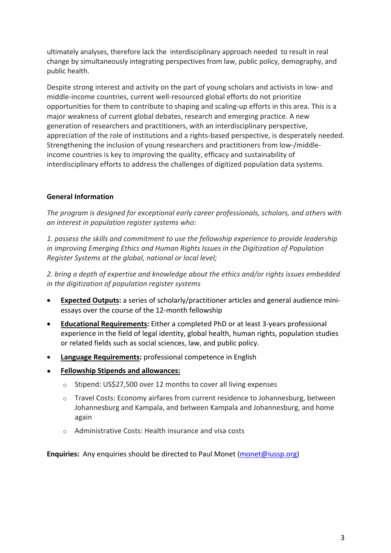ultimately analyses, therefore lack the interdisciplinary approach needed to result in real change by simultaneously integrating perspectives from law, public policy, demography, and public health.

Despite strong interest and activity on the part of young scholars and activists in low- and middle-income countries, current well-resourced global efforts do not prioritize opportunities for them to contribute to shaping and scaling-up efforts in this area. This is a major weakness of current global debates, research and emerging practice. A new generation of researchers and practitioners, with an interdisciplinary perspective, appreciation of the role of institutions and a rights-based perspective, is desperately needed. Strengthening the inclusion of young researchers and practitioners from low-/middleincome countries is key to improving the quality, efficacy and sustainability of interdisciplinary efforts to address the challenges of digitized population data systems.

# **General Information**

*The program is designed for exceptional early career professionals, scholars, and others with an interest in population register systems who:* 

*1. possess the skills and commitment to use the fellowship experience to provide leadership in improving Emerging Ethics and Human Rights Issues in the Digitization of Population Register Systems at the global, national or local level;* 

*2. bring a depth of expertise and knowledge about the ethics and/or rights issues embedded in the digitization of population register systems* 

- **Expected Outputs:** a series of scholarly/practitioner articles and general audience miniessays over the course of the 12-month fellowship
- **Educational Requirements:** Either a completed PhD or at least 3-years professional experience in the field of legal identity, global health, human rights, population studies or related fields such as social sciences, law, and public policy.
- **Language Requirements:** professional competence in English
- **Fellowship Stipends and allowances:** 
	- o Stipend: US\$27,500 over 12 months to cover all living expenses
	- $\circ$  Travel Costs: Economy airfares from current residence to Johannesburg, between Johannesburg and Kampala, and between Kampala and Johannesburg, and home again
	- o Administrative Costs: Health insurance and visa costs

**Enquiries:** Any enquiries should be directed to Paul Monet (monet@iussp.org)